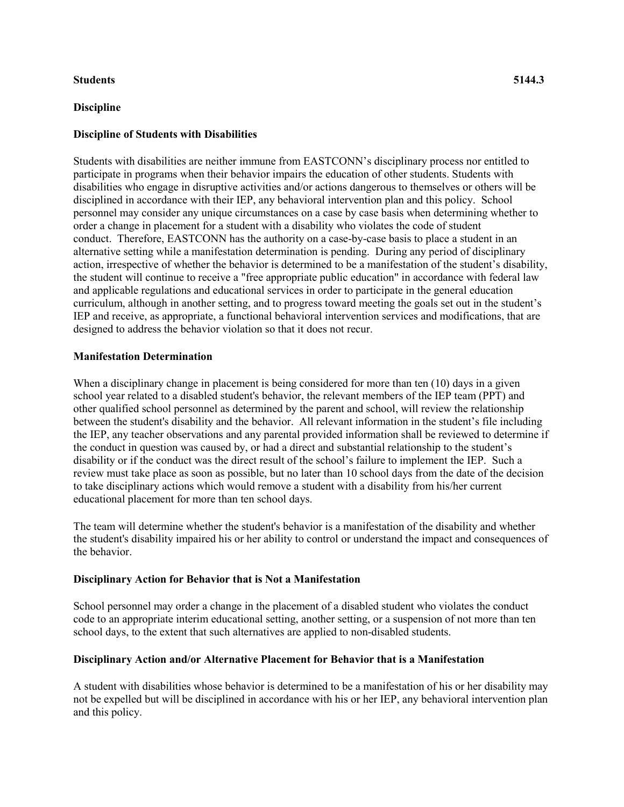#### **Students 5144.3**

### **Discipline**

Students with disabilities are neither immune from EASTCONN's disciplinary process nor entitled to participate in programs when their behavior impairs the education of other students. Students with disabilities who engage in disruptive activities and/or actions dangerous to themselves or others will be disciplined in accordance with their IEP, any behavioral intervention plan and this policy. School personnel may consider any unique circumstances on a case by case basis when determining whether to order a change in placement for a student with a disability who violates the code of student conduct. Therefore, EASTCONN has the authority on a case-by-case basis to place a student in an alternative setting while a manifestation determination is pending. During any period of disciplinary action, irrespective of whether the behavior is determined to be a manifestation of the student's disability, the student will continue to receive a "free appropriate public education" in accordance with federal law and applicable regulations and educational services in order to participate in the general education curriculum, although in another setting, and to progress toward meeting the goals set out in the student's IEP and receive, as appropriate, a functional behavioral intervention services and modifications, that are designed to address the behavior violation so that it does not recur.

# **Manifestation Determination**

When a disciplinary change in placement is being considered for more than ten (10) days in a given school year related to a disabled student's behavior, the relevant members of the IEP team (PPT) and other qualified school personnel as determined by the parent and school, will review the relationship between the student's disability and the behavior. All relevant information in the student's file including the IEP, any teacher observations and any parental provided information shall be reviewed to determine if the conduct in question was caused by, or had a direct and substantial relationship to the student's disability or if the conduct was the direct result of the school's failure to implement the IEP. Such a review must take place as soon as possible, but no later than 10 school days from the date of the decision to take disciplinary actions which would remove a student with a disability from his/her current educational placement for more than ten school days.

The team will determine whether the student's behavior is a manifestation of the disability and whether the student's disability impaired his or her ability to control or understand the impact and consequences of the behavior.

### **Disciplinary Action for Behavior that is Not a Manifestation**

School personnel may order a change in the placement of a disabled student who violates the conduct code to an appropriate interim educational setting, another setting, or a suspension of not more than ten school days, to the extent that such alternatives are applied to non-disabled students.

### **Disciplinary Action and/or Alternative Placement for Behavior that is a Manifestation**

A student with disabilities whose behavior is determined to be a manifestation of his or her disability may not be expelled but will be disciplined in accordance with his or her IEP, any behavioral intervention plan and this policy.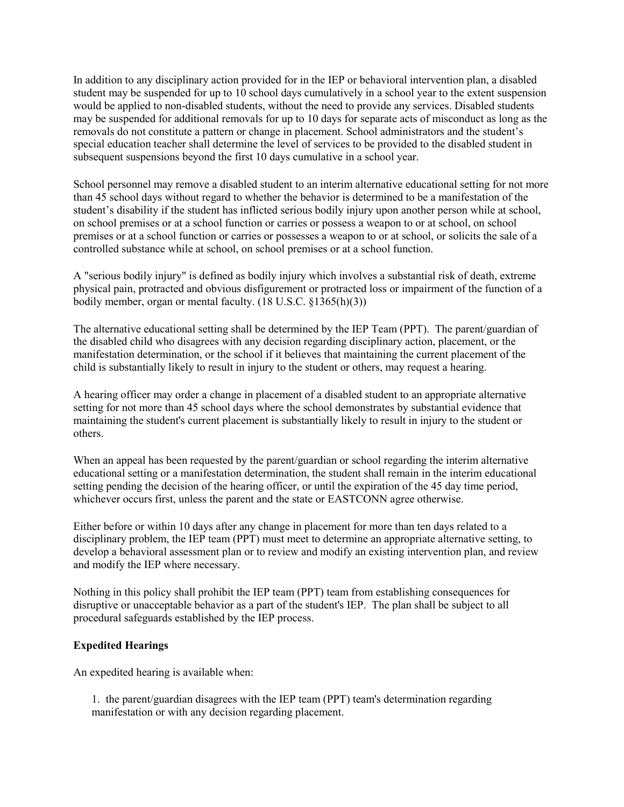In addition to any disciplinary action provided for in the IEP or behavioral intervention plan, a disabled student may be suspended for up to 10 school days cumulatively in a school year to the extent suspension would be applied to non-disabled students, without the need to provide any services. Disabled students may be suspended for additional removals for up to 10 days for separate acts of misconduct as long as the removals do not constitute a pattern or change in placement. School administrators and the student's special education teacher shall determine the level of services to be provided to the disabled student in subsequent suspensions beyond the first 10 days cumulative in a school year.

School personnel may remove a disabled student to an interim alternative educational setting for not more than 45 school days without regard to whether the behavior is determined to be a manifestation of the student's disability if the student has inflicted serious bodily injury upon another person while at school, on school premises or at a school function or carries or possess a weapon to or at school, on school premises or at a school function or carries or possesses a weapon to or at school, or solicits the sale of a controlled substance while at school, on school premises or at a school function.

A "serious bodily injury" is defined as bodily injury which involves a substantial risk of death, extreme physical pain, protracted and obvious disfigurement or protracted loss or impairment of the function of a bodily member, organ or mental faculty. (18 U.S.C. §1365(h)(3))

The alternative educational setting shall be determined by the IEP Team (PPT). The parent/guardian of the disabled child who disagrees with any decision regarding disciplinary action, placement, or the manifestation determination, or the school if it believes that maintaining the current placement of the child is substantially likely to result in injury to the student or others, may request a hearing.

A hearing officer may order a change in placement of a disabled student to an appropriate alternative setting for not more than 45 school days where the school demonstrates by substantial evidence that maintaining the student's current placement is substantially likely to result in injury to the student or others.

When an appeal has been requested by the parent/guardian or school regarding the interim alternative educational setting or a manifestation determination, the student shall remain in the interim educational setting pending the decision of the hearing officer, or until the expiration of the 45 day time period, whichever occurs first, unless the parent and the state or EASTCONN agree otherwise.

Either before or within 10 days after any change in placement for more than ten days related to a disciplinary problem, the IEP team (PPT) must meet to determine an appropriate alternative setting, to develop a behavioral assessment plan or to review and modify an existing intervention plan, and review and modify the IEP where necessary.

Nothing in this policy shall prohibit the IEP team (PPT) team from establishing consequences for disruptive or unacceptable behavior as a part of the student's IEP. The plan shall be subject to all procedural safeguards established by the IEP process.

### **Expedited Hearings**

An expedited hearing is available when:

1. the parent/guardian disagrees with the IEP team (PPT) team's determination regarding manifestation or with any decision regarding placement.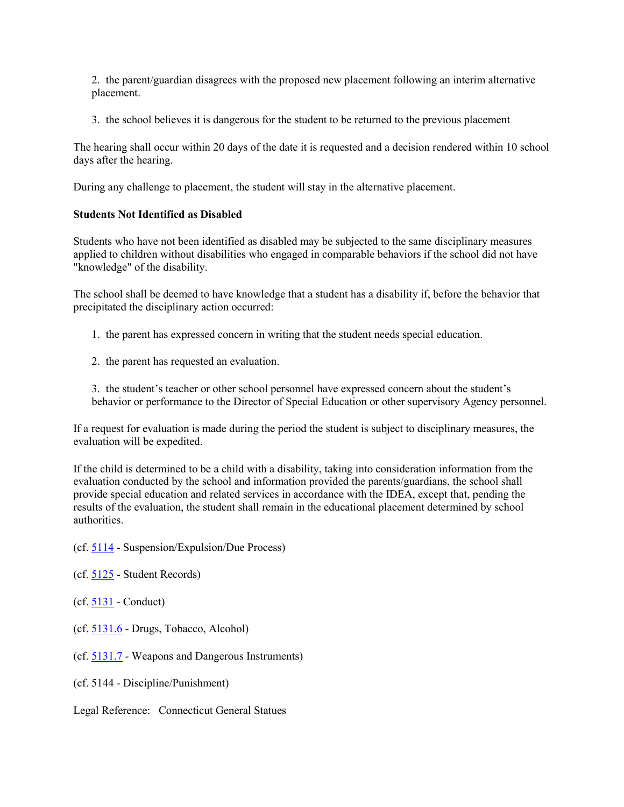2. the parent/guardian disagrees with the proposed new placement following an interim alternative placement.

3. the school believes it is dangerous for the student to be returned to the previous placement

The hearing shall occur within 20 days of the date it is requested and a decision rendered within 10 school days after the hearing.

During any challenge to placement, the student will stay in the alternative placement.

# **Students Not Identified as Disabled**

Students who have not been identified as disabled may be subjected to the same disciplinary measures applied to children without disabilities who engaged in comparable behaviors if the school did not have "knowledge" of the disability.

The school shall be deemed to have knowledge that a student has a disability if, before the behavior that precipitated the disciplinary action occurred:

- 1. the parent has expressed concern in writing that the student needs special education.
- 2. the parent has requested an evaluation.

3. the student's teacher or other school personnel have expressed concern about the student's behavior or performance to the Director of Special Education or other supervisory Agency personnel.

If a request for evaluation is made during the period the student is subject to disciplinary measures, the evaluation will be expedited.

If the child is determined to be a child with a disability, taking into consideration information from the evaluation conducted by the school and information provided the parents/guardians, the school shall provide special education and related services in accordance with the IDEA, except that, pending the results of the evaluation, the student shall remain in the educational placement determined by school authorities.

(cf. [5114](http://z2policy.cabe.org/cabe/DocViewer.jsp?docid=236&z2collection=core#JD_5114) - Suspension/Expulsion/Due Process)

(cf. [5125](http://z2policy.cabe.org/cabe/DocViewer.jsp?docid=255&z2collection=core#JD_5125) - Student Records)

(cf. [5131](http://z2policy.cabe.org/cabe/DocViewer.jsp?docid=267&z2collection=core#JD_5131) - Conduct)

(cf. [5131.6](http://z2policy.cabe.org/cabe/DocViewer.jsp?docid=273&z2collection=core#JD_5131.6) - Drugs, Tobacco, Alcohol)

- (cf. [5131.7](http://z2policy.cabe.org/cabe/DocViewer.jsp?docid=275&z2collection=core#JD_5131.7) Weapons and Dangerous Instruments)
- (cf. 5144 Discipline/Punishment)
- Legal Reference: Connecticut General Statues